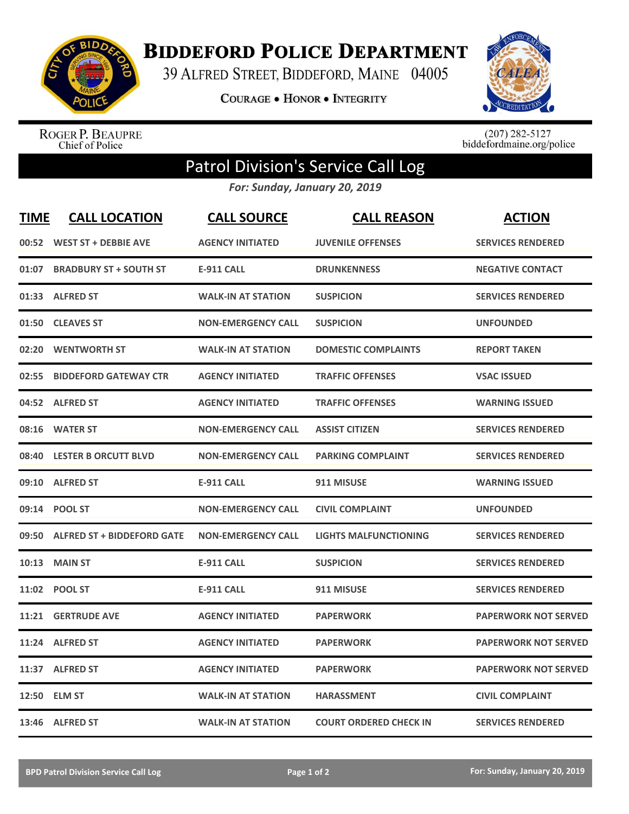

**BIDDEFORD POLICE DEPARTMENT** 

39 ALFRED STREET, BIDDEFORD, MAINE 04005

**COURAGE . HONOR . INTEGRITY** 



ROGER P. BEAUPRE<br>Chief of Police

 $(207)$  282-5127<br>biddefordmaine.org/police

## Patrol Division's Service Call Log

*For: Sunday, January 20, 2019*

| <b>TIME</b> | <b>CALL LOCATION</b>             | <b>CALL SOURCE</b>        | <b>CALL REASON</b>            | <b>ACTION</b>               |
|-------------|----------------------------------|---------------------------|-------------------------------|-----------------------------|
|             | 00:52 WEST ST + DEBBIE AVE       | <b>AGENCY INITIATED</b>   | <b>JUVENILE OFFENSES</b>      | <b>SERVICES RENDERED</b>    |
|             | 01:07 BRADBURY ST + SOUTH ST     | <b>E-911 CALL</b>         | <b>DRUNKENNESS</b>            | <b>NEGATIVE CONTACT</b>     |
|             | 01:33 ALFRED ST                  | <b>WALK-IN AT STATION</b> | <b>SUSPICION</b>              | <b>SERVICES RENDERED</b>    |
|             | 01:50 CLEAVES ST                 | <b>NON-EMERGENCY CALL</b> | <b>SUSPICION</b>              | <b>UNFOUNDED</b>            |
| 02:20       | <b>WENTWORTH ST</b>              | <b>WALK-IN AT STATION</b> | <b>DOMESTIC COMPLAINTS</b>    | <b>REPORT TAKEN</b>         |
| 02:55       | <b>BIDDEFORD GATEWAY CTR</b>     | <b>AGENCY INITIATED</b>   | <b>TRAFFIC OFFENSES</b>       | <b>VSAC ISSUED</b>          |
|             | 04:52 ALFRED ST                  | <b>AGENCY INITIATED</b>   | <b>TRAFFIC OFFENSES</b>       | <b>WARNING ISSUED</b>       |
|             | 08:16 WATER ST                   | <b>NON-EMERGENCY CALL</b> | <b>ASSIST CITIZEN</b>         | <b>SERVICES RENDERED</b>    |
| 08:40       | <b>LESTER B ORCUTT BLVD</b>      | <b>NON-EMERGENCY CALL</b> | <b>PARKING COMPLAINT</b>      | <b>SERVICES RENDERED</b>    |
|             | 09:10 ALFRED ST                  | <b>E-911 CALL</b>         | 911 MISUSE                    | <b>WARNING ISSUED</b>       |
|             | 09:14 POOL ST                    | <b>NON-EMERGENCY CALL</b> | <b>CIVIL COMPLAINT</b>        | <b>UNFOUNDED</b>            |
|             | 09:50 ALFRED ST + BIDDEFORD GATE | <b>NON-EMERGENCY CALL</b> | <b>LIGHTS MALFUNCTIONING</b>  | <b>SERVICES RENDERED</b>    |
| 10:13       | <b>MAIN ST</b>                   | <b>E-911 CALL</b>         | <b>SUSPICION</b>              | <b>SERVICES RENDERED</b>    |
|             | 11:02 POOL ST                    | <b>E-911 CALL</b>         | 911 MISUSE                    | <b>SERVICES RENDERED</b>    |
|             | <b>11:21 GERTRUDE AVE</b>        | <b>AGENCY INITIATED</b>   | <b>PAPERWORK</b>              | <b>PAPERWORK NOT SERVED</b> |
|             | 11:24 ALFRED ST                  | <b>AGENCY INITIATED</b>   | <b>PAPERWORK</b>              | <b>PAPERWORK NOT SERVED</b> |
|             | 11:37 ALFRED ST                  | <b>AGENCY INITIATED</b>   | <b>PAPERWORK</b>              | <b>PAPERWORK NOT SERVED</b> |
|             | 12:50 ELM ST                     | <b>WALK-IN AT STATION</b> | <b>HARASSMENT</b>             | <b>CIVIL COMPLAINT</b>      |
|             | 13:46 ALFRED ST                  | <b>WALK-IN AT STATION</b> | <b>COURT ORDERED CHECK IN</b> | <b>SERVICES RENDERED</b>    |